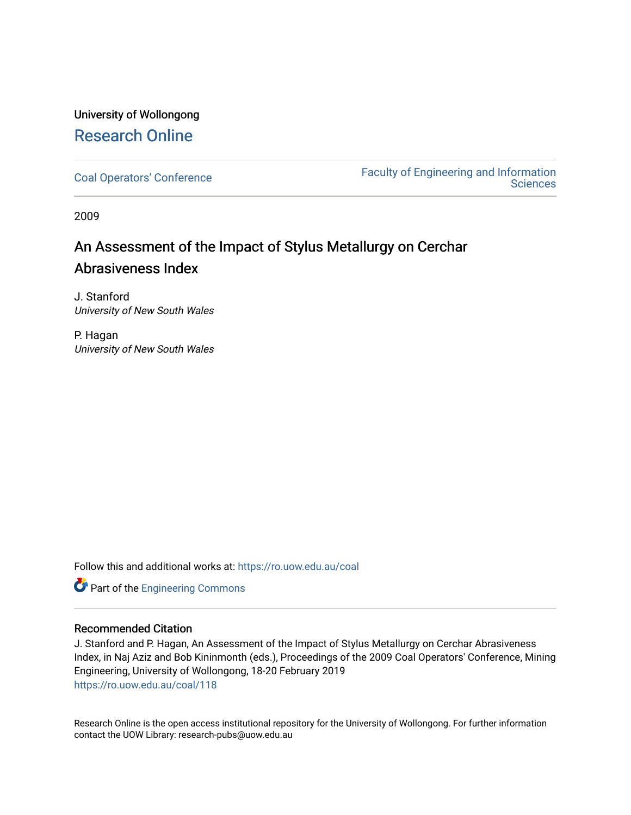# University of Wollongong [Research Online](https://ro.uow.edu.au/)

[Coal Operators' Conference](https://ro.uow.edu.au/coal) [Faculty of Engineering and Information](https://ro.uow.edu.au/eis)  **Sciences** 

2009

# An Assessment of the Impact of Stylus Metallurgy on Cerchar Abrasiveness Index

J. Stanford University of New South Wales

P. Hagan University of New South Wales

Follow this and additional works at: [https://ro.uow.edu.au/coal](https://ro.uow.edu.au/coal?utm_source=ro.uow.edu.au%2Fcoal%2F118&utm_medium=PDF&utm_campaign=PDFCoverPages) 

Part of the [Engineering Commons](http://network.bepress.com/hgg/discipline/217?utm_source=ro.uow.edu.au%2Fcoal%2F118&utm_medium=PDF&utm_campaign=PDFCoverPages)

# Recommended Citation

J. Stanford and P. Hagan, An Assessment of the Impact of Stylus Metallurgy on Cerchar Abrasiveness Index, in Naj Aziz and Bob Kininmonth (eds.), Proceedings of the 2009 Coal Operators' Conference, Mining Engineering, University of Wollongong, 18-20 February 2019 [https://ro.uow.edu.au/coal/118](https://ro.uow.edu.au/coal/118?utm_source=ro.uow.edu.au%2Fcoal%2F118&utm_medium=PDF&utm_campaign=PDFCoverPages) 

Research Online is the open access institutional repository for the University of Wollongong. For further information contact the UOW Library: research-pubs@uow.edu.au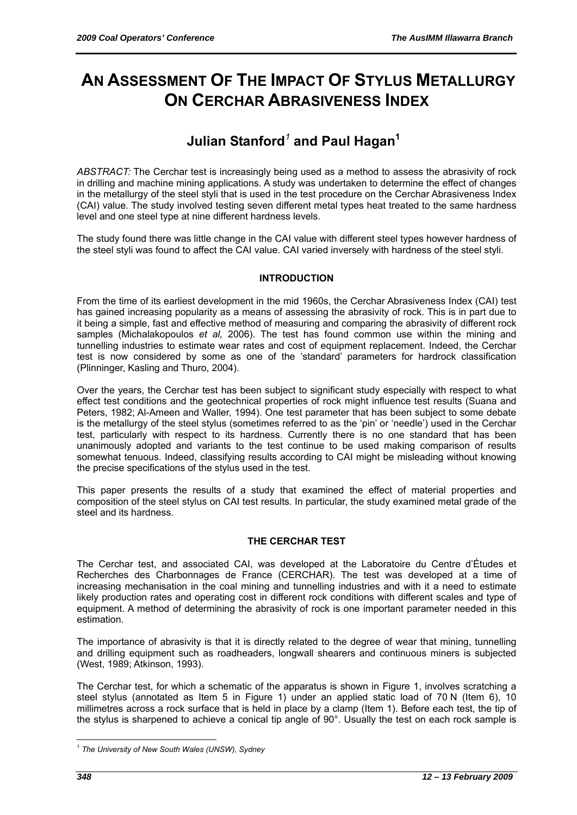# **AN ASSESSMENT OF THE IMPACT OF STYLUS METALLURGY ON CERCHAR ABRASIVENESS INDEX**

# **Julian Stanford***<sup>1</sup>*  **and Paul Hagan1**

*ABSTRACT:* The Cerchar test is increasingly being used as a method to assess the abrasivity of rock in drilling and machine mining applications. A study was undertaken to determine the effect of changes in the metallurgy of the steel styli that is used in the test procedure on the Cerchar Abrasiveness Index (CAI) value. The study involved testing seven different metal types heat treated to the same hardness level and one steel type at nine different hardness levels.

The study found there was little change in the CAI value with different steel types however hardness of the steel styli was found to affect the CAI value. CAI varied inversely with hardness of the steel styli.

# **INTRODUCTION**

From the time of its earliest development in the mid 1960s, the Cerchar Abrasiveness Index (CAI) test has gained increasing popularity as a means of assessing the abrasivity of rock. This is in part due to it being a simple, fast and effective method of measuring and comparing the abrasivity of different rock samples (Michalakopoulos *et al,* 2006). The test has found common use within the mining and tunnelling industries to estimate wear rates and cost of equipment replacement. Indeed, the Cerchar test is now considered by some as one of the 'standard' parameters for hardrock classification (Plinninger, Kasling and Thuro, 2004).

Over the years, the Cerchar test has been subject to significant study especially with respect to what effect test conditions and the geotechnical properties of rock might influence test results (Suana and Peters, 1982; Al-Ameen and Waller, 1994). One test parameter that has been subject to some debate is the metallurgy of the steel stylus (sometimes referred to as the 'pin' or 'needle') used in the Cerchar test, particularly with respect to its hardness. Currently there is no one standard that has been unanimously adopted and variants to the test continue to be used making comparison of results somewhat tenuous. Indeed, classifying results according to CAI might be misleading without knowing the precise specifications of the stylus used in the test.

This paper presents the results of a study that examined the effect of material properties and composition of the steel stylus on CAI test results. In particular, the study examined metal grade of the steel and its hardness.

# **THE CERCHAR TEST**

The Cerchar test, and associated CAI, was developed at the Laboratoire du Centre d'Études et Recherches des Charbonnages de France (CERCHAR). The test was developed at a time of increasing mechanisation in the coal mining and tunnelling industries and with it a need to estimate likely production rates and operating cost in different rock conditions with different scales and type of equipment. A method of determining the abrasivity of rock is one important parameter needed in this estimation.

The importance of abrasivity is that it is directly related to the degree of wear that mining, tunnelling and drilling equipment such as roadheaders, longwall shearers and continuous miners is subjected (West, 1989; Atkinson, 1993).

The Cerchar test, for which a schematic of the apparatus is shown in Figure 1, involves scratching a steel stylus (annotated as Item 5 in Figure 1) under an applied static load of 70 N (Item 6), 10 millimetres across a rock surface that is held in place by a clamp (Item 1). Before each test, the tip of the stylus is sharpened to achieve a conical tip angle of 90°. Usually the test on each rock sample is

 $\overline{a}$ <sup>1</sup> *The University of New South Wales (UNSW), Sydney*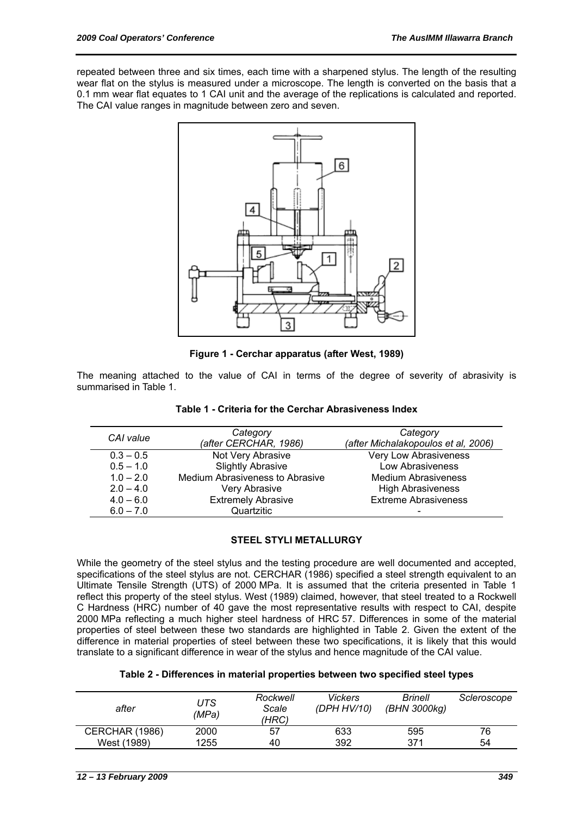repeated between three and six times, each time with a sharpened stylus. The length of the resulting wear flat on the stylus is measured under a microscope. The length is converted on the basis that a 0.1 mm wear flat equates to 1 CAI unit and the average of the replications is calculated and reported. The CAI value ranges in magnitude between zero and seven.



**Figure 1 - Cerchar apparatus (after West, 1989)** 

The meaning attached to the value of CAI in terms of the degree of severity of abrasivity is summarised in Table 1.

| CAI value   | Category                        | Category                            |  |  |
|-------------|---------------------------------|-------------------------------------|--|--|
|             | (after CERCHAR, 1986)           | (after Michalakopoulos et al, 2006) |  |  |
| $0.3 - 0.5$ | Not Very Abrasive               | Very Low Abrasiveness               |  |  |
| $0.5 - 1.0$ | <b>Slightly Abrasive</b>        | Low Abrasiveness                    |  |  |
| $1.0 - 2.0$ | Medium Abrasiveness to Abrasive | <b>Medium Abrasiveness</b>          |  |  |
| $2.0 - 4.0$ | Very Abrasive                   | <b>High Abrasiveness</b>            |  |  |
| $4.0 - 6.0$ | <b>Extremely Abrasive</b>       | <b>Extreme Abrasiveness</b>         |  |  |
| $6.0 - 7.0$ | Quartzitic                      | $\overline{\phantom{0}}$            |  |  |

## **Table 1 - Criteria for the Cerchar Abrasiveness Index**

# **STEEL STYLI METALLURGY**

While the geometry of the steel stylus and the testing procedure are well documented and accepted, specifications of the steel stylus are not. CERCHAR (1986) specified a steel strength equivalent to an Ultimate Tensile Strength (UTS) of 2000 MPa. It is assumed that the criteria presented in Table 1 reflect this property of the steel stylus. West (1989) claimed, however, that steel treated to a Rockwell C Hardness (HRC) number of 40 gave the most representative results with respect to CAI, despite 2000 MPa reflecting a much higher steel hardness of HRC 57. Differences in some of the material properties of steel between these two standards are highlighted in Table 2. Given the extent of the difference in material properties of steel between these two specifications, it is likely that this would translate to a significant difference in wear of the stylus and hence magnitude of the CAI value.

#### **Table 2 - Differences in material properties between two specified steel types**

| after          | UTS<br>(MPa) | Rockwell<br>Scale<br>(HRC) | <b>Vickers</b><br>(DPH HV/10) | <b>Brinell</b><br>(BHN 3000kg) | Scleroscope |
|----------------|--------------|----------------------------|-------------------------------|--------------------------------|-------------|
| CERCHAR (1986) | 2000         | 57                         | 633                           | 595                            | 76          |
| West (1989)    | 1255         | 40                         | 392                           | 371                            | 54          |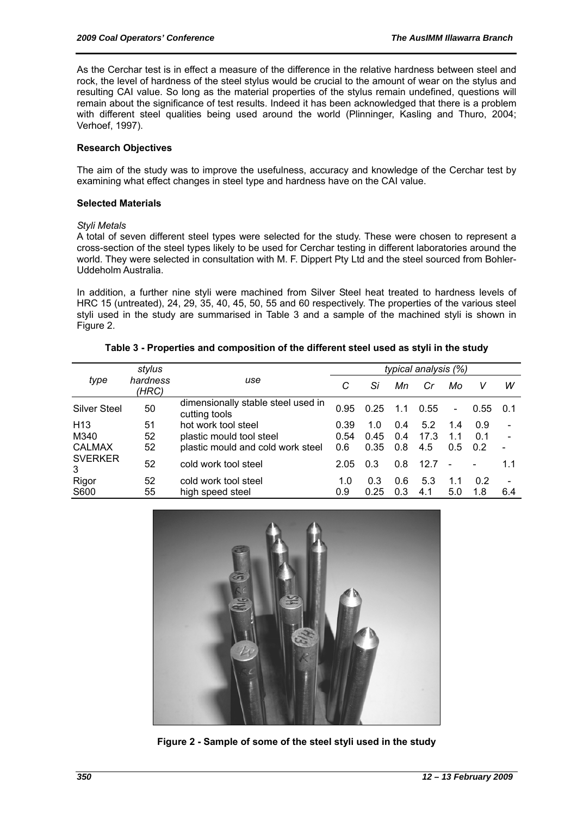As the Cerchar test is in effect a measure of the difference in the relative hardness between steel and rock, the level of hardness of the steel stylus would be crucial to the amount of wear on the stylus and resulting CAI value. So long as the material properties of the stylus remain undefined, questions will remain about the significance of test results. Indeed it has been acknowledged that there is a problem with different steel qualities being used around the world (Plinninger, Kasling and Thuro, 2004; Verhoef, 1997).

## **Research Objectives**

The aim of the study was to improve the usefulness, accuracy and knowledge of the Cerchar test by examining what effect changes in steel type and hardness have on the CAI value.

#### **Selected Materials**

#### *Styli Metals*

A total of seven different steel types were selected for the study. These were chosen to represent a cross-section of the steel types likely to be used for Cerchar testing in different laboratories around the world. They were selected in consultation with M. F. Dippert Pty Ltd and the steel sourced from Bohler-Uddeholm Australia.

In addition, a further nine styli were machined from Silver Steel heat treated to hardness levels of HRC 15 (untreated), 24, 29, 35, 40, 45, 50, 55 and 60 respectively. The properties of the various steel styli used in the study are summarised in Table 3 and a sample of the machined styli is shown in Figure 2.

|                     | stylus            |                                                     |      | <i>typical analysis (%)</i> |     |      |                          |      |                          |
|---------------------|-------------------|-----------------------------------------------------|------|-----------------------------|-----|------|--------------------------|------|--------------------------|
| type                | hardness<br>(HRC) | use                                                 | С    | Si                          | Мn  | Cr   | Mo                       | v    | w                        |
| Silver Steel        | 50                | dimensionally stable steel used in<br>cutting tools | 0.95 | 0.25                        | 1.1 | 0.55 | $\overline{\phantom{0}}$ | 0.55 | 0.1                      |
| H <sub>13</sub>     | 51                | hot work tool steel                                 | 0.39 | 1.0                         | 0.4 | 5.2  | 1.4                      | 0.9  | $\overline{\phantom{a}}$ |
| M340                | 52                | plastic mould tool steel                            | 0.54 | 0.45                        | 0.4 | 17.3 | 11                       | 0.1  | $\blacksquare$           |
| <b>CALMAX</b>       | 52                | plastic mould and cold work steel                   | 0.6  | 0.35                        | 0.8 | 4.5  | 0.5                      | 0.2  |                          |
| <b>SVERKER</b><br>3 | 52                | cold work tool steel                                | 2.05 | 0.3                         | 0.8 | 12.7 | $\overline{\phantom{a}}$ |      | 1.1                      |
| Rigor               | 52                | cold work tool steel                                | 1.0  | 0.3                         | 0.6 | 5.3  | 1.1                      | 0.2  | $\overline{\phantom{a}}$ |
| S600                | 55                | high speed steel                                    | 0.9  | 0.25                        | 0.3 | 4.1  | 5.0                      | 1.8  | 6.4                      |

#### **Table 3 - Properties and composition of the different steel used as styli in the study**



**Figure 2 - Sample of some of the steel styli used in the study**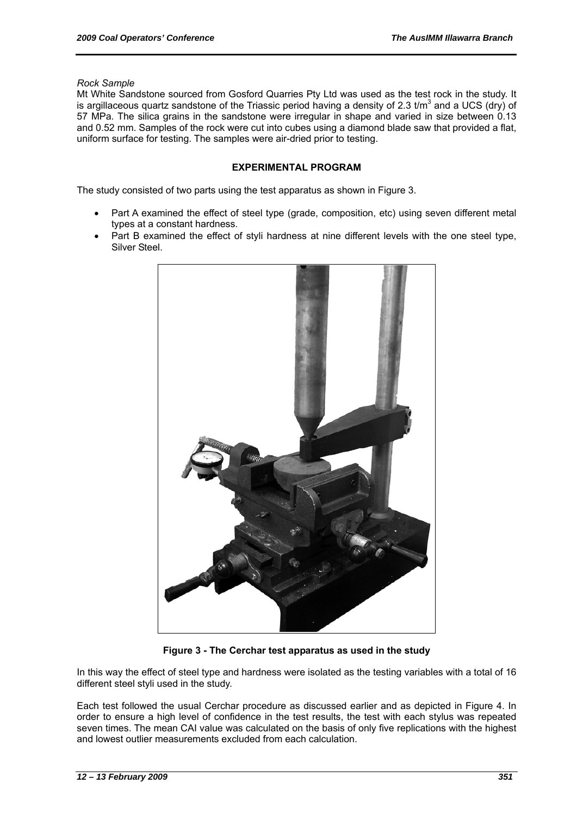*Rock Sample* 

Mt White Sandstone sourced from Gosford Quarries Pty Ltd was used as the test rock in the study. It is argillaceous quartz sandstone of the Triassic period having a density of 2.3  $t/m<sup>3</sup>$  and a UCS (dry) of 57 MPa. The silica grains in the sandstone were irregular in shape and varied in size between 0.13 and 0.52 mm. Samples of the rock were cut into cubes using a diamond blade saw that provided a flat, uniform surface for testing. The samples were air-dried prior to testing.

## **EXPERIMENTAL PROGRAM**

The study consisted of two parts using the test apparatus as shown in Figure 3.

- Part A examined the effect of steel type (grade, composition, etc) using seven different metal types at a constant hardness.
- Part B examined the effect of styli hardness at nine different levels with the one steel type, Silver Steel.



**Figure 3 - The Cerchar test apparatus as used in the study** 

In this way the effect of steel type and hardness were isolated as the testing variables with a total of 16 different steel styli used in the study.

Each test followed the usual Cerchar procedure as discussed earlier and as depicted in Figure 4. In order to ensure a high level of confidence in the test results, the test with each stylus was repeated seven times. The mean CAI value was calculated on the basis of only five replications with the highest and lowest outlier measurements excluded from each calculation.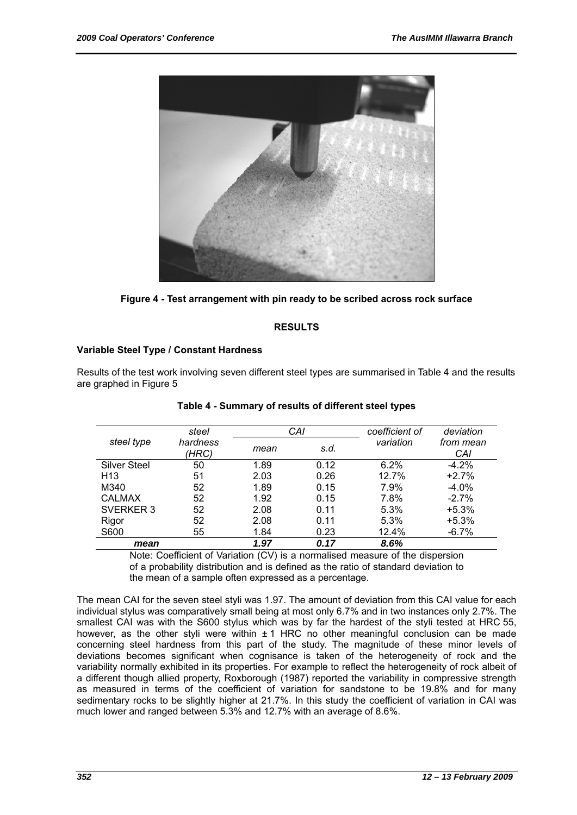

**Figure 4 - Test arrangement with pin ready to be scribed across rock surface** 

# **RESULTS**

# **Variable Steel Type / Constant Hardness**

Results of the test work involving seven different steel types are summarised in Table 4 and the results are graphed in Figure 5

|                     | steel             | CAI  |      | coefficient of | deviation        |  |
|---------------------|-------------------|------|------|----------------|------------------|--|
| steel type          | hardness<br>(HRC) | mean | s.d. | variation      | from mean<br>CAI |  |
| <b>Silver Steel</b> | 50                | 1.89 | 0.12 | 6.2%           | $-4.2\%$         |  |
| H <sub>13</sub>     | 51                | 2.03 | 0.26 | 12.7%          | $+2.7%$          |  |
| M340                | 52                | 1.89 | 0.15 | 7.9%           | $-4.0%$          |  |
| <b>CALMAX</b>       | 52                | 1.92 | 0.15 | 7.8%           | $-2.7%$          |  |
| SVERKER 3           | 52                | 2.08 | 0.11 | 5.3%           | $+5.3%$          |  |
| Rigor               | 52                | 2.08 | 0.11 | 5.3%           | $+5.3%$          |  |
| S600                | 55                | 1.84 | 0.23 | 12.4%          | $-6.7%$          |  |
| mean                |                   | 1.97 | 0.17 | 8.6%           |                  |  |

**Table 4 - Summary of results of different steel types** 

Note: Coefficient of Variation (CV) is a normalised measure of the dispersion of a probability distribution and is defined as the ratio of standard deviation to the mean of a sample often expressed as a percentage.

The mean CAI for the seven steel styli was 1.97. The amount of deviation from this CAI value for each individual stylus was comparatively small being at most only 6.7% and in two instances only 2.7%. The smallest CAI was with the S600 stylus which was by far the hardest of the styli tested at HRC 55, however, as the other styli were within  $\pm 1$  HRC no other meaningful conclusion can be made concerning steel hardness from this part of the study. The magnitude of these minor levels of deviations becomes significant when cognisance is taken of the heterogeneity of rock and the variability normally exhibited in its properties. For example to reflect the heterogeneity of rock albeit of a different though allied property, Roxborough (1987) reported the variability in compressive strength as measured in terms of the coefficient of variation for sandstone to be 19.8% and for many sedimentary rocks to be slightly higher at 21.7%. In this study the coefficient of variation in CAI was much lower and ranged between 5.3% and 12.7% with an average of 8.6%.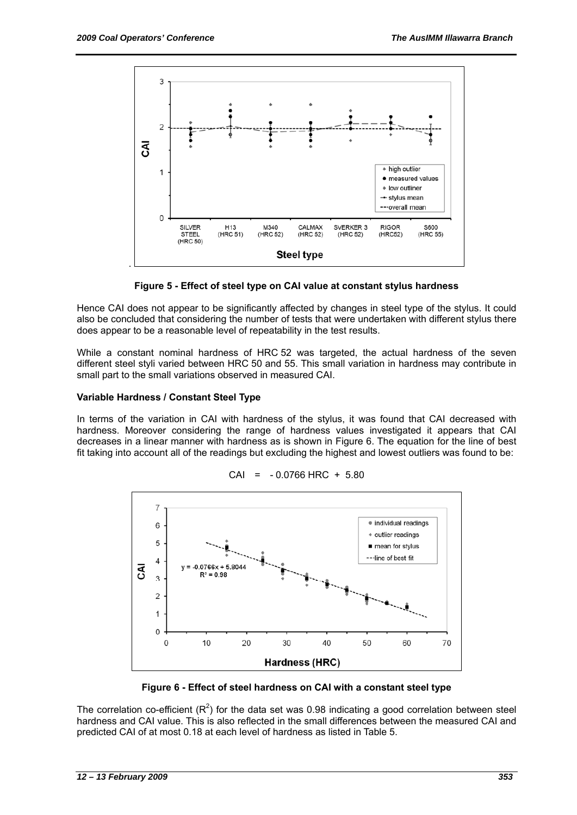

**Figure 5 - Effect of steel type on CAI value at constant stylus hardness** 

Hence CAI does not appear to be significantly affected by changes in steel type of the stylus. It could also be concluded that considering the number of tests that were undertaken with different stylus there does appear to be a reasonable level of repeatability in the test results.

While a constant nominal hardness of HRC 52 was targeted, the actual hardness of the seven different steel styli varied between HRC 50 and 55. This small variation in hardness may contribute in small part to the small variations observed in measured CAI.

## **Variable Hardness / Constant Steel Type**

In terms of the variation in CAI with hardness of the stylus, it was found that CAI decreased with hardness. Moreover considering the range of hardness values investigated it appears that CAI decreases in a linear manner with hardness as is shown in Figure 6. The equation for the line of best fit taking into account all of the readings but excluding the highest and lowest outliers was found to be:



 $CAI = -0.0766$  HRC + 5.80

**Figure 6 - Effect of steel hardness on CAI with a constant steel type** 

The correlation co-efficient ( $R^2$ ) for the data set was 0.98 indicating a good correlation between steel hardness and CAI value. This is also reflected in the small differences between the measured CAI and predicted CAI of at most 0.18 at each level of hardness as listed in Table 5.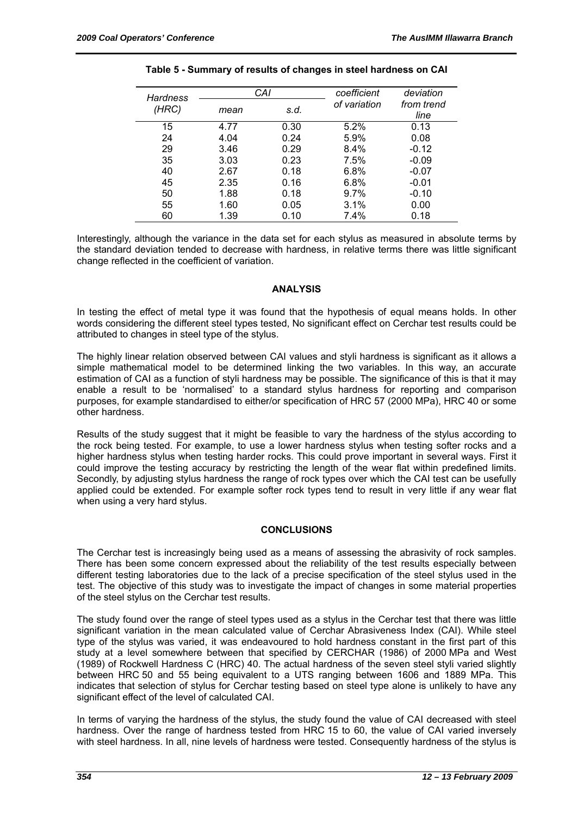| <b>Hardness</b> |              | CAI  | coefficient  | deviation          |  |
|-----------------|--------------|------|--------------|--------------------|--|
| (HRC)           | s.d.<br>mean |      | of variation | from trend<br>line |  |
| 15              | 4.77         | 0.30 | 5.2%         | 0.13               |  |
| 24              | 4.04         | 0.24 | 5.9%         | 0.08               |  |
| 29              | 3.46         | 0.29 | 8.4%         | $-0.12$            |  |
| 35              | 3.03         | 0.23 | 7.5%         | $-0.09$            |  |
| 40              | 2.67         | 0.18 | 6.8%         | $-0.07$            |  |
| 45              | 2.35         | 0.16 | 6.8%         | $-0.01$            |  |
| 50              | 1.88         | 0.18 | 9.7%         | $-0.10$            |  |
| 55              | 1.60         | 0.05 | 3.1%         | 0.00               |  |
| 60              | 1.39         | 0.10 | 7.4%         | 0.18               |  |

#### **Table 5 - Summary of results of changes in steel hardness on CAI**

Interestingly, although the variance in the data set for each stylus as measured in absolute terms by the standard deviation tended to decrease with hardness, in relative terms there was little significant change reflected in the coefficient of variation.

#### **ANALYSIS**

In testing the effect of metal type it was found that the hypothesis of equal means holds. In other words considering the different steel types tested, No significant effect on Cerchar test results could be attributed to changes in steel type of the stylus.

The highly linear relation observed between CAI values and styli hardness is significant as it allows a simple mathematical model to be determined linking the two variables. In this way, an accurate estimation of CAI as a function of styli hardness may be possible. The significance of this is that it may enable a result to be 'normalised' to a standard stylus hardness for reporting and comparison purposes, for example standardised to either/or specification of HRC 57 (2000 MPa), HRC 40 or some other hardness.

Results of the study suggest that it might be feasible to vary the hardness of the stylus according to the rock being tested. For example, to use a lower hardness stylus when testing softer rocks and a higher hardness stylus when testing harder rocks. This could prove important in several ways. First it could improve the testing accuracy by restricting the length of the wear flat within predefined limits. Secondly, by adjusting stylus hardness the range of rock types over which the CAI test can be usefully applied could be extended. For example softer rock types tend to result in very little if any wear flat when using a very hard stylus.

# **CONCLUSIONS**

The Cerchar test is increasingly being used as a means of assessing the abrasivity of rock samples. There has been some concern expressed about the reliability of the test results especially between different testing laboratories due to the lack of a precise specification of the steel stylus used in the test. The objective of this study was to investigate the impact of changes in some material properties of the steel stylus on the Cerchar test results.

The study found over the range of steel types used as a stylus in the Cerchar test that there was little significant variation in the mean calculated value of Cerchar Abrasiveness Index (CAI). While steel type of the stylus was varied, it was endeavoured to hold hardness constant in the first part of this study at a level somewhere between that specified by CERCHAR (1986) of 2000 MPa and West (1989) of Rockwell Hardness C (HRC) 40. The actual hardness of the seven steel styli varied slightly between HRC 50 and 55 being equivalent to a UTS ranging between 1606 and 1889 MPa. This indicates that selection of stylus for Cerchar testing based on steel type alone is unlikely to have any significant effect of the level of calculated CAI.

In terms of varying the hardness of the stylus, the study found the value of CAI decreased with steel hardness. Over the range of hardness tested from HRC 15 to 60, the value of CAI varied inversely with steel hardness. In all, nine levels of hardness were tested. Consequently hardness of the stylus is